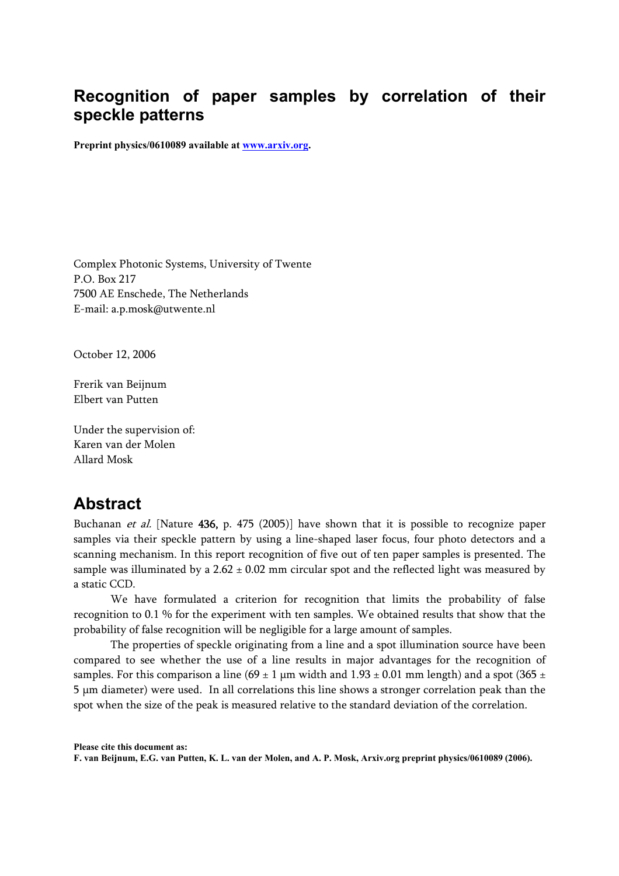# **Recognition of paper samples by correlation of their speckle patterns**

**Preprint physics/0610089 available at www.arxiv.org.** 

Complex Photonic Systems, University of Twente P.O. Box 217 7500 AE Enschede, The Netherlands E-mail: a.p.mosk@utwente.nl

October 12, 2006

Frerik van Beijnum Elbert van Putten

Under the supervision of: Karen van der Molen Allard Mosk

### **Abstract**

Buchanan et al. [Nature 436, p. 475 (2005)] have shown that it is possible to recognize paper samples via their speckle pattern by using a line-shaped laser focus, four photo detectors and a scanning mechanism. In this report recognition of five out of ten paper samples is presented. The sample was illuminated by a  $2.62 \pm 0.02$  mm circular spot and the reflected light was measured by a static CCD.

We have formulated a criterion for recognition that limits the probability of false recognition to 0.1 % for the experiment with ten samples. We obtained results that show that the probability of false recognition will be negligible for a large amount of samples.

The properties of speckle originating from a line and a spot illumination source have been compared to see whether the use of a line results in major advantages for the recognition of samples. For this comparison a line (69  $\pm$  1 µm width and 1.93  $\pm$  0.01 mm length) and a spot (365  $\pm$ 5 μm diameter) were used. In all correlations this line shows a stronger correlation peak than the spot when the size of the peak is measured relative to the standard deviation of the correlation.

**Please cite this document as:** 

**F. van Beijnum, E.G. van Putten, K. L. van der Molen, and A. P. Mosk, Arxiv.org preprint physics/0610089 (2006).**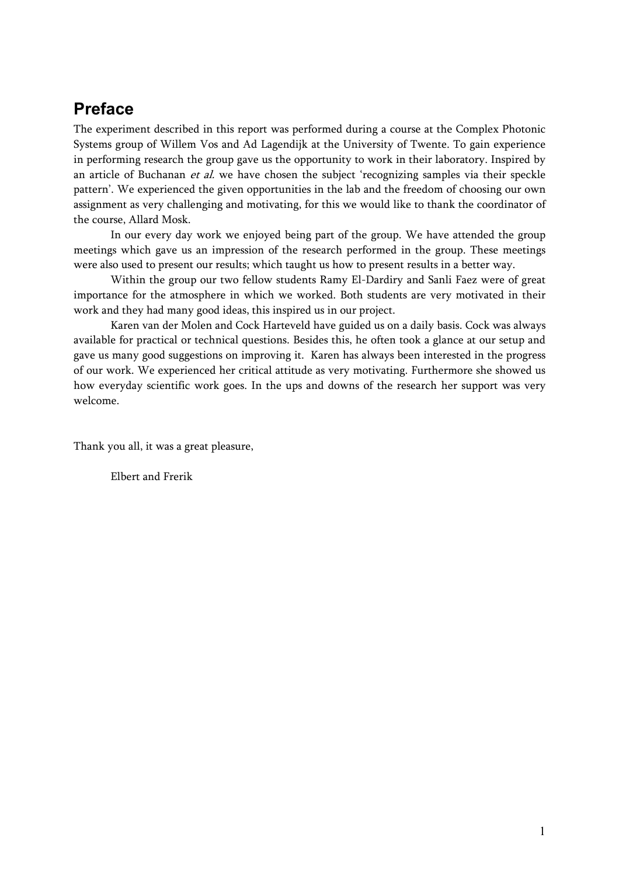# **Preface**

The experiment described in this report was performed during a course at the Complex Photonic Systems group of Willem Vos and Ad Lagendijk at the University of Twente. To gain experience in performing research the group gave us the opportunity to work in their laboratory. Inspired by an article of Buchanan  $et$  al. we have chosen the subject 'recognizing samples via their speckle pattern'. We experienced the given opportunities in the lab and the freedom of choosing our own assignment as very challenging and motivating, for this we would like to thank the coordinator of the course, Allard Mosk.

In our every day work we enjoyed being part of the group. We have attended the group meetings which gave us an impression of the research performed in the group. These meetings were also used to present our results; which taught us how to present results in a better way.

Within the group our two fellow students Ramy El-Dardiry and Sanli Faez were of great importance for the atmosphere in which we worked. Both students are very motivated in their work and they had many good ideas, this inspired us in our project.

Karen van der Molen and Cock Harteveld have guided us on a daily basis. Cock was always available for practical or technical questions. Besides this, he often took a glance at our setup and gave us many good suggestions on improving it. Karen has always been interested in the progress of our work. We experienced her critical attitude as very motivating. Furthermore she showed us how everyday scientific work goes. In the ups and downs of the research her support was very welcome.

Thank you all, it was a great pleasure,

Elbert and Frerik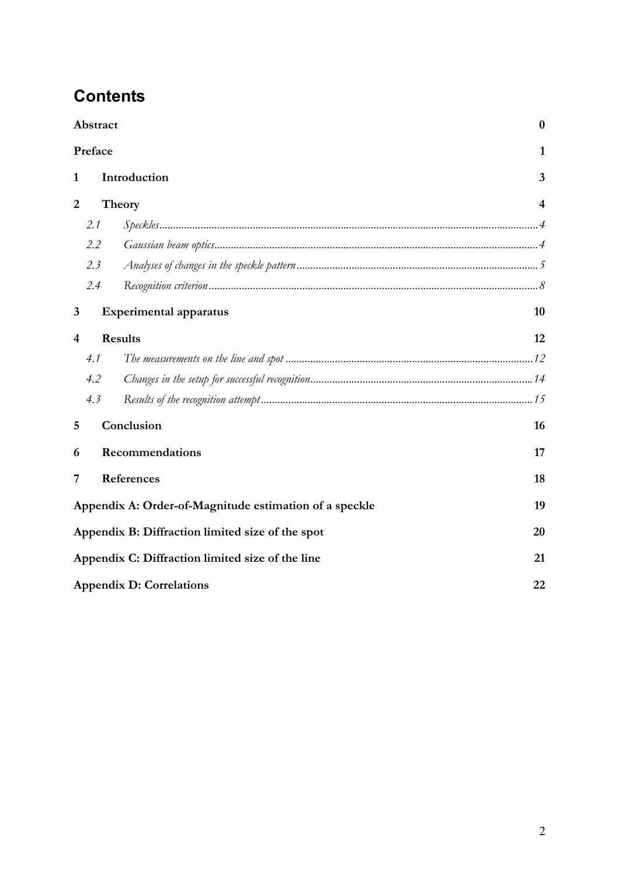# **Contents**

| Abstract<br>Preface     |                                                              |                               | $\bf{0}$       |  |
|-------------------------|--------------------------------------------------------------|-------------------------------|----------------|--|
|                         |                                                              |                               | 1              |  |
| $\mathbf{1}$            |                                                              | Introduction                  |                |  |
| $\overline{2}$          |                                                              | Theory                        | $\overline{4}$ |  |
|                         | 2.1                                                          |                               |                |  |
|                         | 2.2                                                          |                               |                |  |
|                         | 2.3                                                          |                               |                |  |
|                         | 2.4                                                          |                               |                |  |
| 3                       |                                                              | <b>Experimental apparatus</b> | 10             |  |
| $\overline{\mathbf{4}}$ | <b>Results</b>                                               |                               | 12             |  |
|                         | 4.1                                                          |                               |                |  |
|                         | 4.2                                                          |                               |                |  |
|                         | 4.3                                                          |                               |                |  |
| 5                       | Conclusion<br>16                                             |                               |                |  |
| 6                       |                                                              | Recommendations               | 17             |  |
| 7                       | References                                                   |                               | 18             |  |
|                         | Appendix A: Order-of-Magnitude estimation of a speckle<br>19 |                               |                |  |
|                         | Appendix B: Diffraction limited size of the spot<br>20       |                               |                |  |
|                         | Appendix C: Diffraction limited size of the line<br>21       |                               |                |  |
|                         | <b>Appendix D: Correlations</b><br>22                        |                               |                |  |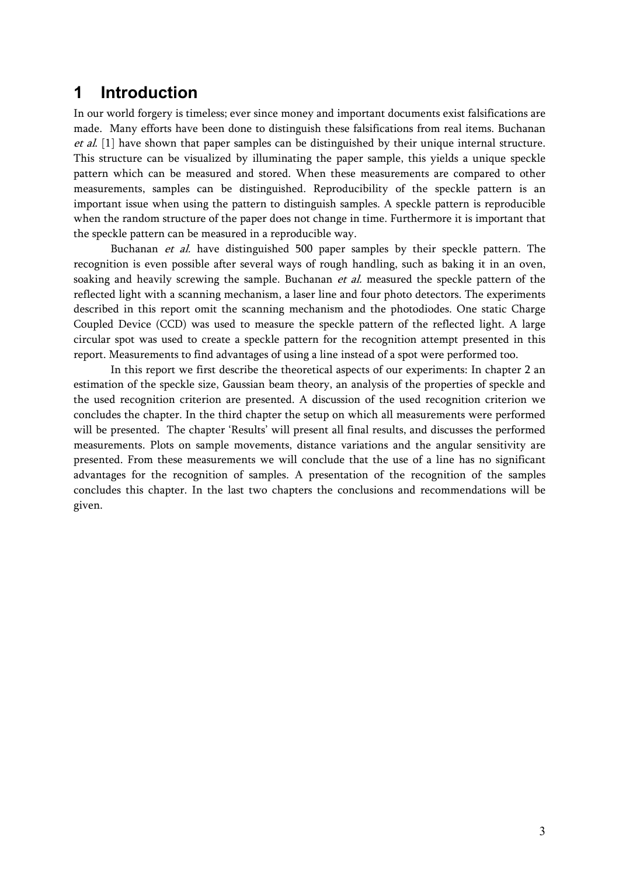# **1 Introduction**

In our world forgery is timeless; ever since money and important documents exist falsifications are made. Many efforts have been done to distinguish these falsifications from real items. Buchanan et al. [1] have shown that paper samples can be distinguished by their unique internal structure. This structure can be visualized by illuminating the paper sample, this yields a unique speckle pattern which can be measured and stored. When these measurements are compared to other measurements, samples can be distinguished. Reproducibility of the speckle pattern is an important issue when using the pattern to distinguish samples. A speckle pattern is reproducible when the random structure of the paper does not change in time. Furthermore it is important that the speckle pattern can be measured in a reproducible way.

Buchanan et al. have distinguished 500 paper samples by their speckle pattern. The recognition is even possible after several ways of rough handling, such as baking it in an oven, soaking and heavily screwing the sample. Buchanan *et al.* measured the speckle pattern of the reflected light with a scanning mechanism, a laser line and four photo detectors. The experiments described in this report omit the scanning mechanism and the photodiodes. One static Charge Coupled Device (CCD) was used to measure the speckle pattern of the reflected light. A large circular spot was used to create a speckle pattern for the recognition attempt presented in this report. Measurements to find advantages of using a line instead of a spot were performed too.

In this report we first describe the theoretical aspects of our experiments: In chapter 2 an estimation of the speckle size, Gaussian beam theory, an analysis of the properties of speckle and the used recognition criterion are presented. A discussion of the used recognition criterion we concludes the chapter. In the third chapter the setup on which all measurements were performed will be presented. The chapter 'Results' will present all final results, and discusses the performed measurements. Plots on sample movements, distance variations and the angular sensitivity are presented. From these measurements we will conclude that the use of a line has no significant advantages for the recognition of samples. A presentation of the recognition of the samples concludes this chapter. In the last two chapters the conclusions and recommendations will be given.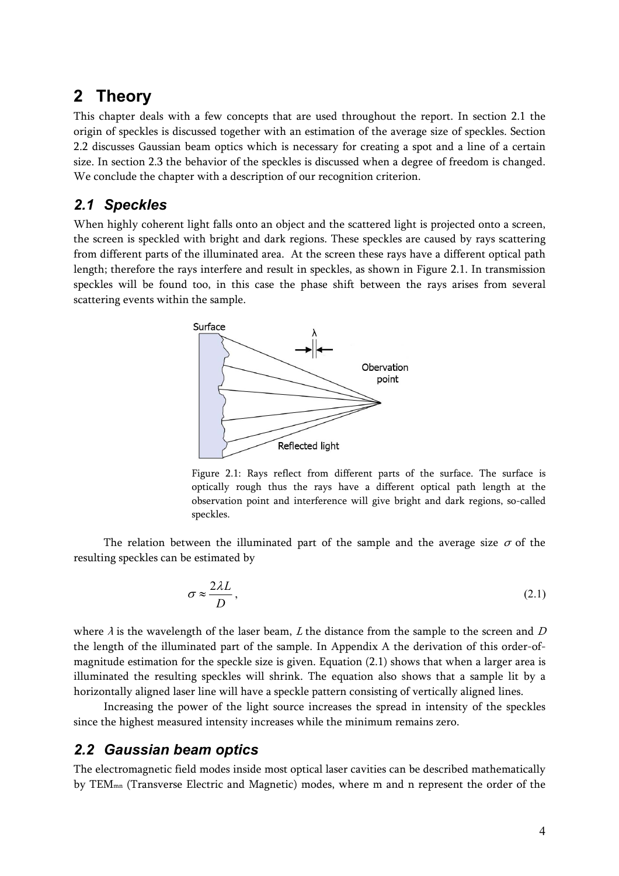# **2 Theory**

This chapter deals with a few concepts that are used throughout the report. In section 2.1 the origin of speckles is discussed together with an estimation of the average size of speckles. Section 2.2 discusses Gaussian beam optics which is necessary for creating a spot and a line of a certain size. In section 2.3 the behavior of the speckles is discussed when a degree of freedom is changed. We conclude the chapter with a description of our recognition criterion.

### *2.1 Speckles*

When highly coherent light falls onto an object and the scattered light is projected onto a screen, the screen is speckled with bright and dark regions. These speckles are caused by rays scattering from different parts of the illuminated area. At the screen these rays have a different optical path length; therefore the rays interfere and result in speckles, as shown in Figure 2.1. In transmission speckles will be found too, in this case the phase shift between the rays arises from several scattering events within the sample.



Figure 2.1: Rays reflect from different parts of the surface. The surface is optically rough thus the rays have a different optical path length at the observation point and interference will give bright and dark regions, so-called speckles.

The relation between the illuminated part of the sample and the average size  $\sigma$  of the resulting speckles can be estimated by

$$
\sigma \approx \frac{2\lambda L}{D},\tag{2.1}
$$

where  $\lambda$  is the wavelength of the laser beam,  $L$  the distance from the sample to the screen and  $D$ the length of the illuminated part of the sample. In Appendix A the derivation of this order-ofmagnitude estimation for the speckle size is given. Equation (2.1) shows that when a larger area is illuminated the resulting speckles will shrink. The equation also shows that a sample lit by a horizontally aligned laser line will have a speckle pattern consisting of vertically aligned lines.

Increasing the power of the light source increases the spread in intensity of the speckles since the highest measured intensity increases while the minimum remains zero.

### *2.2 Gaussian beam optics*

The electromagnetic field modes inside most optical laser cavities can be described mathematically by TEMmn (Transverse Electric and Magnetic) modes, where m and n represent the order of the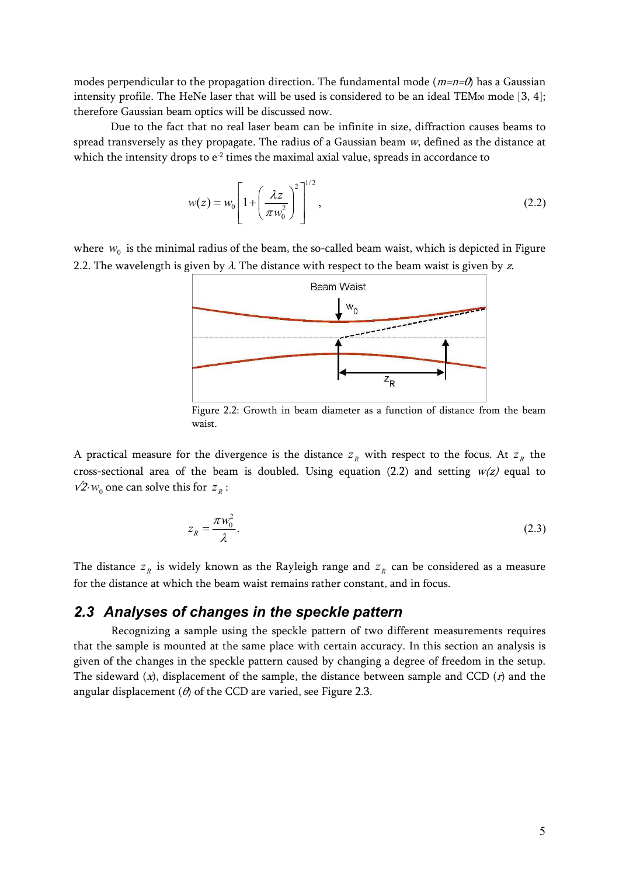modes perpendicular to the propagation direction. The fundamental mode ( $m=n=0$ ) has a Gaussian intensity profile. The HeNe laser that will be used is considered to be an ideal TEM $\omega$  mode [3, 4]; therefore Gaussian beam optics will be discussed now.

Due to the fact that no real laser beam can be infinite in size, diffraction causes beams to spread transversely as they propagate. The radius of a Gaussian beam  $w$ , defined as the distance at which the intensity drops to  $e^2$  times the maximal axial value, spreads in accordance to

$$
w(z) = w_0 \left[ 1 + \left( \frac{\lambda z}{\pi w_0^2} \right)^2 \right]^{1/2}, \qquad (2.2)
$$

where  $w_0$  is the minimal radius of the beam, the so-called beam waist, which is depicted in Figure 2.2. The wavelength is given by  $\lambda$ . The distance with respect to the beam waist is given by z.



Figure 2.2: Growth in beam diameter as a function of distance from the beam waist.

A practical measure for the divergence is the distance  $z<sub>R</sub>$  with respect to the focus. At  $z<sub>R</sub>$  the cross-sectional area of the beam is doubled. Using equation (2.2) and setting  $w(z)$  equal to  $√2·w_0$  one can solve this for  $z_R$ :

$$
z_R = \frac{\pi w_0^2}{\lambda}.
$$
\n<sup>(2.3)</sup>

The distance  $z<sub>R</sub>$  is widely known as the Rayleigh range and  $z<sub>R</sub>$  can be considered as a measure for the distance at which the beam waist remains rather constant, and in focus.

#### *2.3 Analyses of changes in the speckle pattern*

Recognizing a sample using the speckle pattern of two different measurements requires that the sample is mounted at the same place with certain accuracy. In this section an analysis is given of the changes in the speckle pattern caused by changing a degree of freedom in the setup. The sideward  $(x)$ , displacement of the sample, the distance between sample and CCD  $(r)$  and the angular displacement ( $\theta$ ) of the CCD are varied, see Figure 2.3.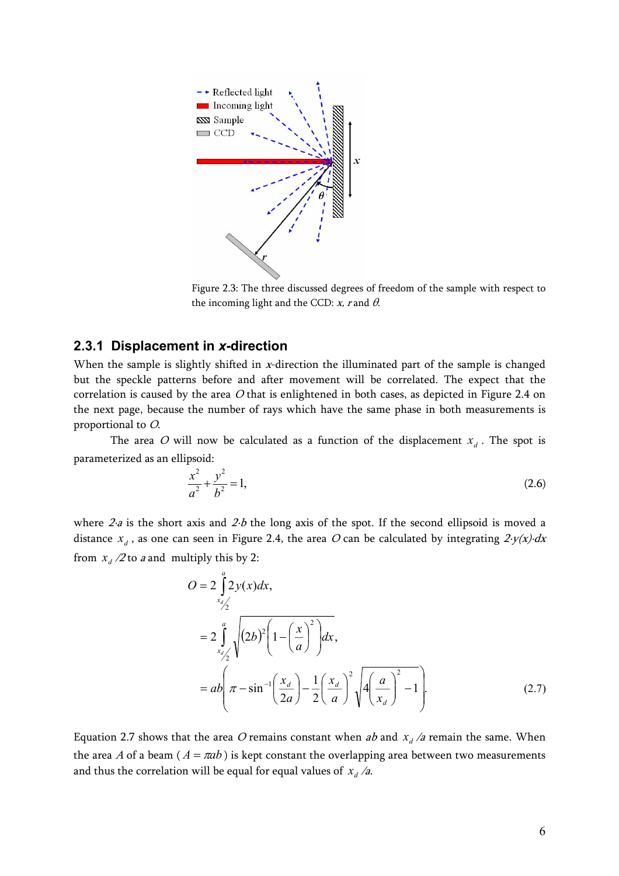

Figure 2.3: The three discussed degrees of freedom of the sample with respect to the incoming light and the CCD:  $x$ , r and  $\theta$ .

#### **2.3.1 Displacement in** *x***-direction**

When the sample is slightly shifted in x-direction the illuminated part of the sample is changed but the speckle patterns before and after movement will be correlated. The expect that the correlation is caused by the area  $O$  that is enlightened in both cases, as depicted in Figure 2.4 on the next page, because the number of rays which have the same phase in both measurements is proportional to O.

The area O will now be calculated as a function of the displacement  $x_d$ . The spot is parameterized as an ellipsoid:

$$
\frac{x^2}{a^2} + \frac{y^2}{b^2} = 1,\tag{2.6}
$$

where  $2-a$  is the short axis and  $2-b$  the long axis of the spot. If the second ellipsoid is moved a distance  $x_d$ , as one can seen in Figure 2.4, the area O can be calculated by integrating  $2-y(x)dx$ from  $x_d/2$  to a and multiply this by 2:

$$
O = 2 \int_{x_{d/2}}^{a} 2y(x) dx,
$$
  
=  $2 \int_{x_{d/2}}^{a} \sqrt{(2b)^2 \left(1 - \left(\frac{x}{a}\right)^2\right)} dx,$   
=  $ab \left(\pi - \sin^{-1}\left(\frac{x_d}{2a}\right) - \frac{1}{2}\left(\frac{x_d}{a}\right)^2 \sqrt{4\left(\frac{a}{x_d}\right)^2 - 1}\right).$  (2.7)

Equation 2.7 shows that the area O remains constant when ab and  $x_d/a$  remain the same. When the area A of a beam ( $A = \pi ab$ ) is kept constant the overlapping area between two measurements and thus the correlation will be equal for equal values of  $x_d / a$ .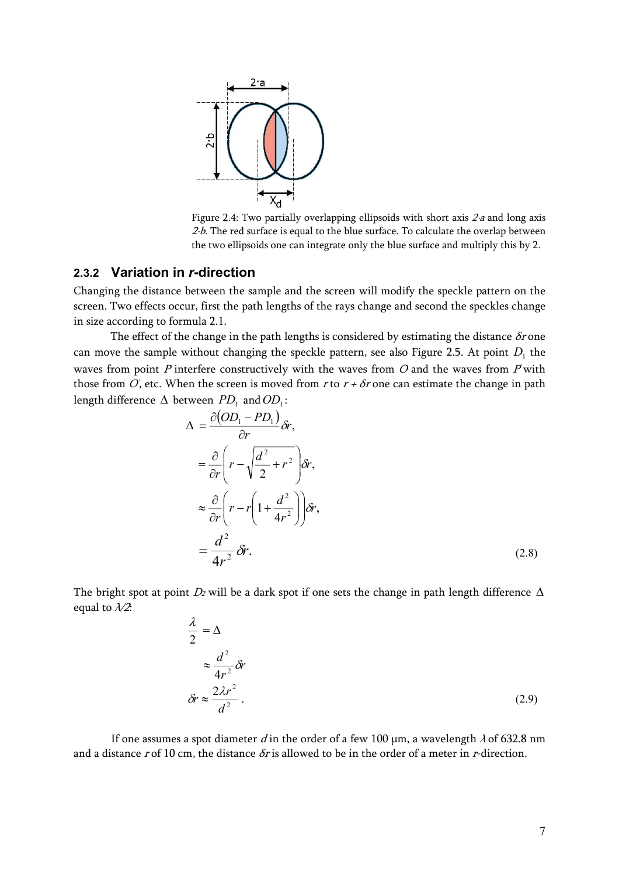

Figure 2.4: Two partially overlapping ellipsoids with short axis 2·a and long axis  $2-b$ . The red surface is equal to the blue surface. To calculate the overlap between the two ellipsoids one can integrate only the blue surface and multiply this by 2.

#### **2.3.2 Variation in** *r***-direction**

Changing the distance between the sample and the screen will modify the speckle pattern on the screen. Two effects occur, first the path lengths of the rays change and second the speckles change in size according to formula 2.1.

The effect of the change in the path lengths is considered by estimating the distance  $\delta r$  one can move the sample without changing the speckle pattern, see also Figure 2.5. At point  $D<sub>1</sub>$  the waves from point  $P$  interfere constructively with the waves from  $O$  and the waves from  $P$  with those from  $O$ , etc. When the screen is moved from  $r$  to  $r + \delta r$  one can estimate the change in path length difference  $\Delta$  between  $PD_1$  and  $OD_1$ :

$$
\Delta = \frac{\partial (OD_1 - PD_1)}{\partial r} \delta r,
$$
  
\n
$$
= \frac{\partial}{\partial r} \left( r - \sqrt{\frac{d^2}{2} + r^2} \right) \delta r,
$$
  
\n
$$
\approx \frac{\partial}{\partial r} \left( r - r \left( 1 + \frac{d^2}{4r^2} \right) \right) \delta r,
$$
  
\n
$$
= \frac{d^2}{4r^2} \delta r.
$$
 (2.8)

The bright spot at point  $D_2$  will be a dark spot if one sets the change in path length difference  $\Delta$ equal to  $\lambda/2$ :

$$
\frac{\lambda}{2} = \Delta
$$
  
\n
$$
\approx \frac{d^2}{4r^2} \delta r
$$
  
\n
$$
\delta r \approx \frac{2\lambda r^2}{d^2}.
$$
\n(2.9)

If one assumes a spot diameter d in the order of a few 100  $\mu$ m, a wavelength  $\lambda$  of 632.8 nm and a distance r of 10 cm, the distance  $\delta r$  is allowed to be in the order of a meter in r-direction.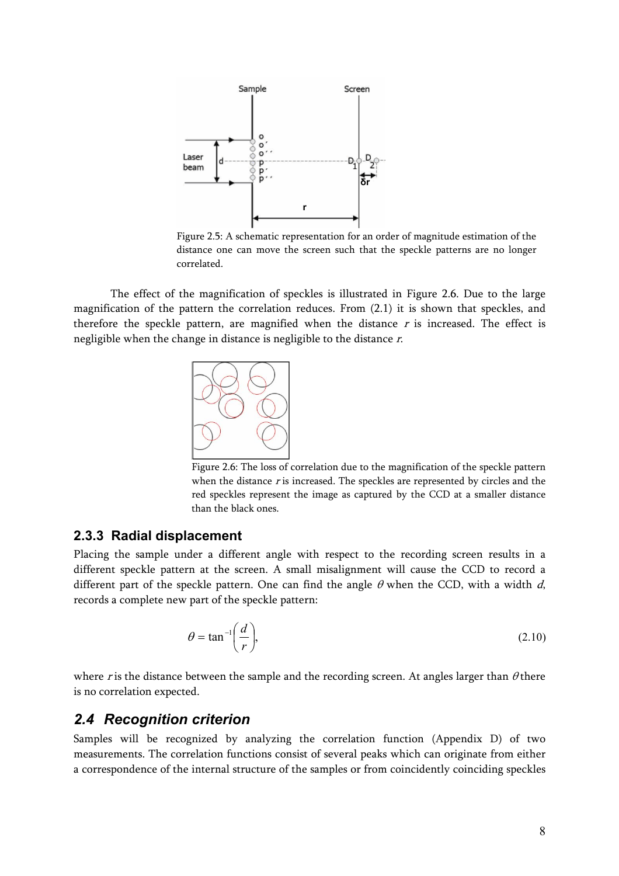

Figure 2.5: A schematic representation for an order of magnitude estimation of the distance one can move the screen such that the speckle patterns are no longer correlated.

The effect of the magnification of speckles is illustrated in Figure 2.6. Due to the large magnification of the pattern the correlation reduces. From (2.1) it is shown that speckles, and therefore the speckle pattern, are magnified when the distance  $r$  is increased. The effect is negligible when the change in distance is negligible to the distance r.



Figure 2.6: The loss of correlation due to the magnification of the speckle pattern when the distance  $r$  is increased. The speckles are represented by circles and the red speckles represent the image as captured by the CCD at a smaller distance than the black ones.

#### **2.3.3 Radial displacement**

Placing the sample under a different angle with respect to the recording screen results in a different speckle pattern at the screen. A small misalignment will cause the CCD to record a different part of the speckle pattern. One can find the angle  $\theta$  when the CCD, with a width d, records a complete new part of the speckle pattern:

$$
\theta = \tan^{-1}\left(\frac{d}{r}\right),\tag{2.10}
$$

where r is the distance between the sample and the recording screen. At angles larger than  $\theta$  there is no correlation expected.

#### *2.4 Recognition criterion*

Samples will be recognized by analyzing the correlation function (Appendix D) of two measurements. The correlation functions consist of several peaks which can originate from either a correspondence of the internal structure of the samples or from coincidently coinciding speckles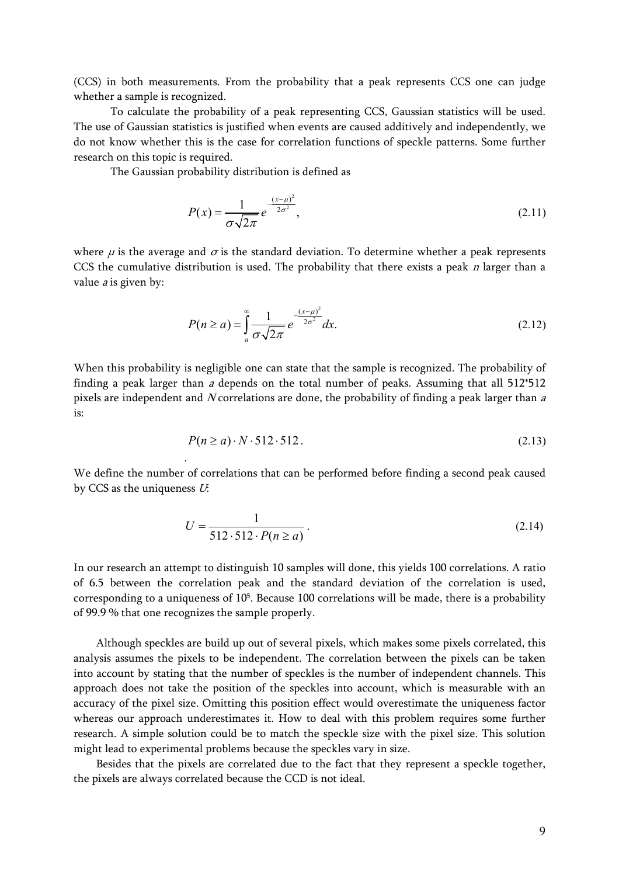(CCS) in both measurements. From the probability that a peak represents CCS one can judge whether a sample is recognized.

To calculate the probability of a peak representing CCS, Gaussian statistics will be used. The use of Gaussian statistics is justified when events are caused additively and independently, we do not know whether this is the case for correlation functions of speckle patterns. Some further research on this topic is required.

The Gaussian probability distribution is defined as

.

$$
P(x) = \frac{1}{\sigma\sqrt{2\pi}} e^{-\frac{(x-\mu)^2}{2\sigma^2}},
$$
\n(2.11)

where  $\mu$  is the average and  $\sigma$  is the standard deviation. To determine whether a peak represents CCS the cumulative distribution is used. The probability that there exists a peak  $n$  larger than a value  $a$  is given by:

$$
P(n \ge a) = \int_{a}^{\infty} \frac{1}{\sigma \sqrt{2\pi}} e^{-\frac{(x-\mu)^2}{2\sigma^2}} dx.
$$
 (2.12)

When this probability is negligible one can state that the sample is recognized. The probability of finding a peak larger than  $a$  depends on the total number of peaks. Assuming that all  $512*512$ pixels are independent and N correlations are done, the probability of finding a peak larger than  $a$  $i$ s:

$$
P(n \ge a) \cdot N \cdot 512 \cdot 512. \tag{2.13}
$$

We define the number of correlations that can be performed before finding a second peak caused by CCS as the uniqueness  $U$ :

$$
U = \frac{1}{512 \cdot 512 \cdot P(n \ge a)}.
$$
\n(2.14)

In our research an attempt to distinguish 10 samples will done, this yields 100 correlations. A ratio of 6.5 between the correlation peak and the standard deviation of the correlation is used, corresponding to a uniqueness of 105. Because 100 correlations will be made, there is a probability of 99.9 % that one recognizes the sample properly.

Although speckles are build up out of several pixels, which makes some pixels correlated, this analysis assumes the pixels to be independent. The correlation between the pixels can be taken into account by stating that the number of speckles is the number of independent channels. This approach does not take the position of the speckles into account, which is measurable with an accuracy of the pixel size. Omitting this position effect would overestimate the uniqueness factor whereas our approach underestimates it. How to deal with this problem requires some further research. A simple solution could be to match the speckle size with the pixel size. This solution might lead to experimental problems because the speckles vary in size.

Besides that the pixels are correlated due to the fact that they represent a speckle together, the pixels are always correlated because the CCD is not ideal.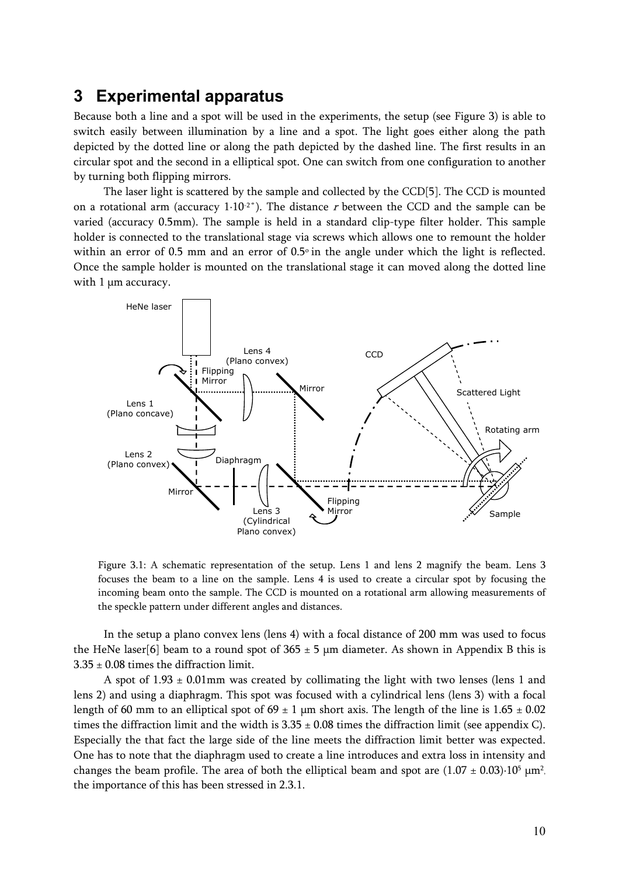### **3 Experimental apparatus**

Because both a line and a spot will be used in the experiments, the setup (see Figure 3) is able to switch easily between illumination by a line and a spot. The light goes either along the path depicted by the dotted line or along the path depicted by the dashed line. The first results in an circular spot and the second in a elliptical spot. One can switch from one configuration to another by turning both flipping mirrors.

The laser light is scattered by the sample and collected by the CCD[5]. The CCD is mounted on a rotational arm (accuracy  $1.10^{2}$ °). The distance r between the CCD and the sample can be varied (accuracy 0.5mm). The sample is held in a standard clip-type filter holder. This sample holder is connected to the translational stage via screws which allows one to remount the holder within an error of 0.5 mm and an error of 0.5° in the angle under which the light is reflected. Once the sample holder is mounted on the translational stage it can moved along the dotted line with 1 μm accuracy.



Figure 3.1: A schematic representation of the setup. Lens 1 and lens 2 magnify the beam. Lens 3 focuses the beam to a line on the sample. Lens 4 is used to create a circular spot by focusing the incoming beam onto the sample. The CCD is mounted on a rotational arm allowing measurements of the speckle pattern under different angles and distances.

In the setup a plano convex lens (lens 4) with a focal distance of 200 mm was used to focus the HeNe laser[6] beam to a round spot of  $365 \pm 5$  µm diameter. As shown in Appendix B this is  $3.35\pm0.08$  times the diffraction limit.

A spot of  $1.93 \pm 0.01$  mm was created by collimating the light with two lenses (lens 1 and lens 2) and using a diaphragm. This spot was focused with a cylindrical lens (lens 3) with a focal length of 60 mm to an elliptical spot of  $69 \pm 1$  µm short axis. The length of the line is  $1.65 \pm 0.02$ times the diffraction limit and the width is  $3.35 \pm 0.08$  times the diffraction limit (see appendix C). Especially the that fact the large side of the line meets the diffraction limit better was expected. One has to note that the diaphragm used to create a line introduces and extra loss in intensity and changes the beam profile. The area of both the elliptical beam and spot are  $(1.07 \pm 0.03) \cdot 10^5$  um<sup>2</sup>. the importance of this has been stressed in 2.3.1.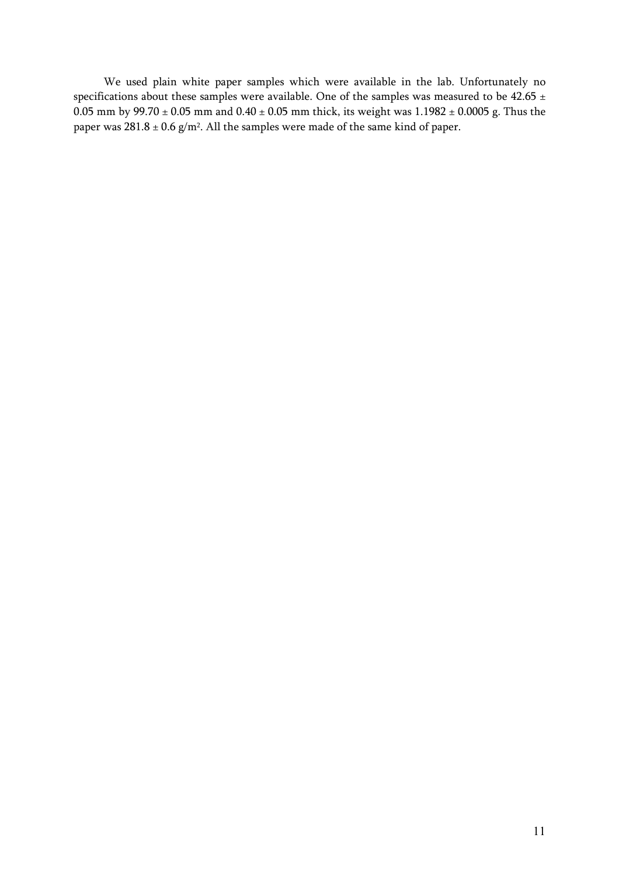We used plain white paper samples which were available in the lab. Unfortunately no specifications about these samples were available. One of the samples was measured to be 42.65  $\pm$ 0.05 mm by  $99.70 \pm 0.05$  mm and  $0.40 \pm 0.05$  mm thick, its weight was  $1.1982 \pm 0.0005$  g. Thus the paper was  $281.8 \pm 0.6$  g/m<sup>2</sup>. All the samples were made of the same kind of paper.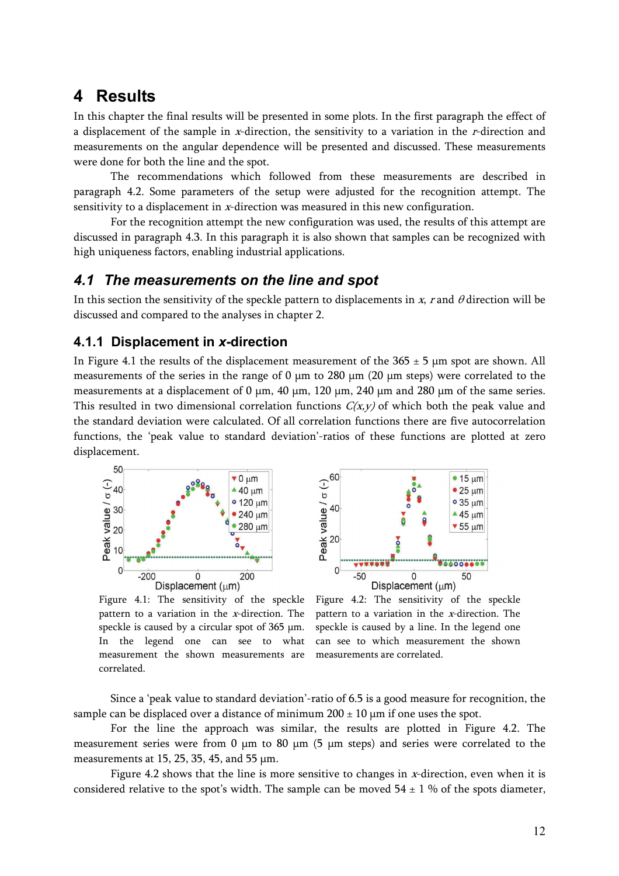### **4 Results**

In this chapter the final results will be presented in some plots. In the first paragraph the effect of a displacement of the sample in x-direction, the sensitivity to a variation in the r-direction and measurements on the angular dependence will be presented and discussed. These measurements were done for both the line and the spot.

The recommendations which followed from these measurements are described in paragraph 4.2. Some parameters of the setup were adjusted for the recognition attempt. The sensitivity to a displacement in x-direction was measured in this new configuration.

For the recognition attempt the new configuration was used, the results of this attempt are discussed in paragraph 4.3. In this paragraph it is also shown that samples can be recognized with high uniqueness factors, enabling industrial applications.

#### *4.1 The measurements on the line and spot*

In this section the sensitivity of the speckle pattern to displacements in  $x$ , r and  $\theta$  direction will be discussed and compared to the analyses in chapter 2.

#### **4.1.1 Displacement in** *x***-direction**

In Figure 4.1 the results of the displacement measurement of the  $365 \pm 5$  µm spot are shown. All measurements of the series in the range of 0 μm to 280 μm (20 μm steps) were correlated to the measurements at a displacement of 0  $\mu$ m, 40  $\mu$ m, 120  $\mu$ m, 240  $\mu$ m and 280  $\mu$ m of the same series. This resulted in two dimensional correlation functions  $C(x, y)$  of which both the peak value and the standard deviation were calculated. Of all correlation functions there are five autocorrelation functions, the 'peak value to standard deviation'-ratios of these functions are plotted at zero displacement.



Figure 4.1: The sensitivity of the speckle pattern to a variation in the  $x$ -direction. The speckle is caused by a circular spot of 365 μm. In the legend one can see to what measurement the shown measurements are correlated.



Figure 4.2: The sensitivity of the speckle pattern to a variation in the x-direction. The speckle is caused by a line. In the legend one can see to which measurement the shown measurements are correlated.

Since a 'peak value to standard deviation'-ratio of 6.5 is a good measure for recognition, the sample can be displaced over a distance of minimum  $200 \pm 10$  µm if one uses the spot.

For the line the approach was similar, the results are plotted in Figure 4.2. The measurement series were from 0 μm to 80 μm (5 μm steps) and series were correlated to the measurements at 15, 25, 35, 45, and 55 μm.

Figure 4.2 shows that the line is more sensitive to changes in  $x$ -direction, even when it is considered relative to the spot's width. The sample can be moved  $54 \pm 1$  % of the spots diameter,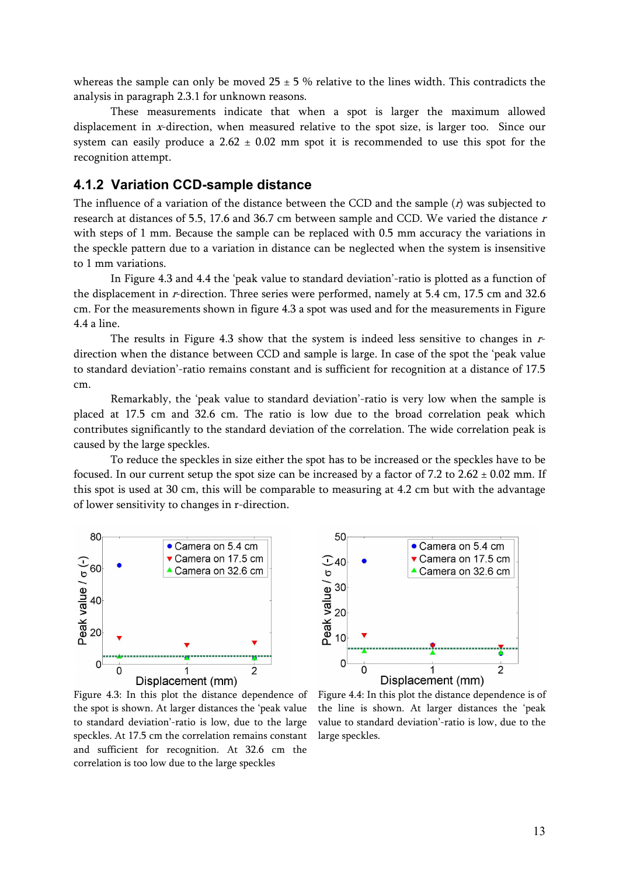whereas the sample can only be moved  $25 \pm 5$  % relative to the lines width. This contradicts the analysis in paragraph 2.3.1 for unknown reasons.

These measurements indicate that when a spot is larger the maximum allowed displacement in x-direction, when measured relative to the spot size, is larger too. Since our system can easily produce a  $2.62 \pm 0.02$  mm spot it is recommended to use this spot for the recognition attempt.

#### **4.1.2 Variation CCD-sample distance**

The influence of a variation of the distance between the CCD and the sample  $(r)$  was subjected to research at distances of 5.5, 17.6 and 36.7 cm between sample and CCD. We varied the distance r with steps of 1 mm. Because the sample can be replaced with 0.5 mm accuracy the variations in the speckle pattern due to a variation in distance can be neglected when the system is insensitive to 1 mm variations.

In Figure 4.3 and 4.4 the 'peak value to standard deviation'-ratio is plotted as a function of the displacement in r-direction. Three series were performed, namely at 5.4 cm, 17.5 cm and 32.6 cm. For the measurements shown in figure 4.3 a spot was used and for the measurements in Figure 4.4 a line.

The results in Figure 4.3 show that the system is indeed less sensitive to changes in rdirection when the distance between CCD and sample is large. In case of the spot the 'peak value to standard deviation'-ratio remains constant and is sufficient for recognition at a distance of 17.5 cm.

Remarkably, the 'peak value to standard deviation'-ratio is very low when the sample is placed at 17.5 cm and 32.6 cm. The ratio is low due to the broad correlation peak which contributes significantly to the standard deviation of the correlation. The wide correlation peak is caused by the large speckles.

To reduce the speckles in size either the spot has to be increased or the speckles have to be focused. In our current setup the spot size can be increased by a factor of 7.2 to  $2.62 \pm 0.02$  mm. If this spot is used at 30 cm, this will be comparable to measuring at 4.2 cm but with the advantage of lower sensitivity to changes in r-direction.





Figure 4.3: In this plot the distance dependence of the spot is shown. At larger distances the 'peak value to standard deviation'-ratio is low, due to the large speckles. At 17.5 cm the correlation remains constant and sufficient for recognition. At 32.6 cm the correlation is too low due to the large speckles

Figure 4.4: In this plot the distance dependence is of the line is shown. At larger distances the 'peak value to standard deviation'-ratio is low, due to the large speckles.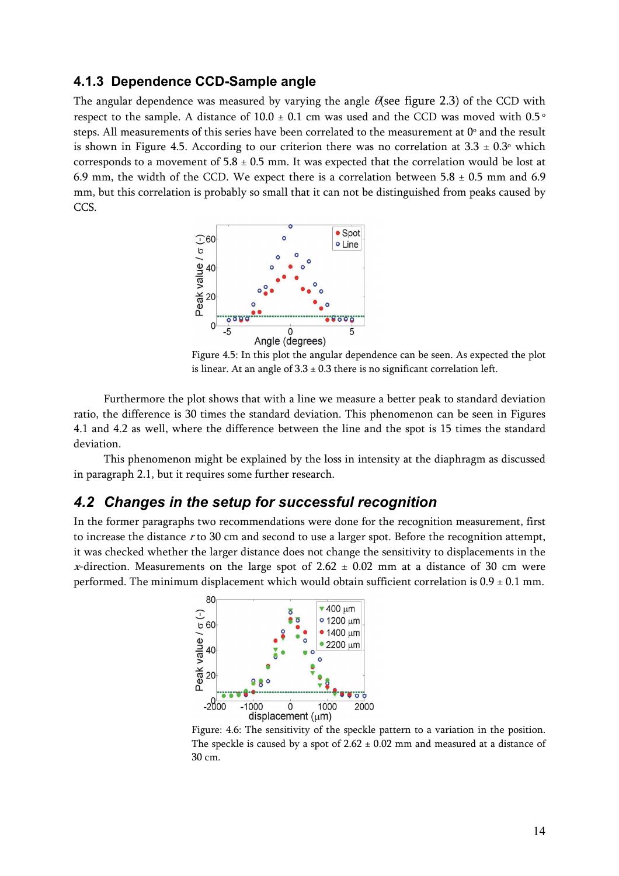#### **4.1.3 Dependence CCD-Sample angle**

The angular dependence was measured by varying the angle  $\theta$  see figure 2.3) of the CCD with respect to the sample. A distance of  $10.0 \pm 0.1$  cm was used and the CCD was moved with 0.5  $\degree$ steps. All measurements of this series have been correlated to the measurement at  $0^{\circ}$  and the result is shown in Figure 4.5. According to our criterion there was no correlation at  $3.3 \pm 0.3$ <sup>o</sup> which corresponds to a movement of  $5.8 \pm 0.5$  mm. It was expected that the correlation would be lost at 6.9 mm, the width of the CCD. We expect there is a correlation between  $5.8 \pm 0.5$  mm and 6.9 mm, but this correlation is probably so small that it can not be distinguished from peaks caused by CCS.



Figure 4.5: In this plot the angular dependence can be seen. As expected the plot is linear. At an angle of  $3.3 \pm 0.3$  there is no significant correlation left.

Furthermore the plot shows that with a line we measure a better peak to standard deviation ratio, the difference is 30 times the standard deviation. This phenomenon can be seen in Figures 4.1 and 4.2 as well, where the difference between the line and the spot is 15 times the standard deviation.

This phenomenon might be explained by the loss in intensity at the diaphragm as discussed in paragraph 2.1, but it requires some further research.

#### *4.2 Changes in the setup for successful recognition*

In the former paragraphs two recommendations were done for the recognition measurement, first to increase the distance  $r$  to 30 cm and second to use a larger spot. Before the recognition attempt, it was checked whether the larger distance does not change the sensitivity to displacements in the x-direction. Measurements on the large spot of 2.62  $\pm$  0.02 mm at a distance of 30 cm were performed. The minimum displacement which would obtain sufficient correlation is  $0.9 \pm 0.1$  mm.



Figure: 4.6: The sensitivity of the speckle pattern to a variation in the position. The speckle is caused by a spot of  $2.62 \pm 0.02$  mm and measured at a distance of 30 cm.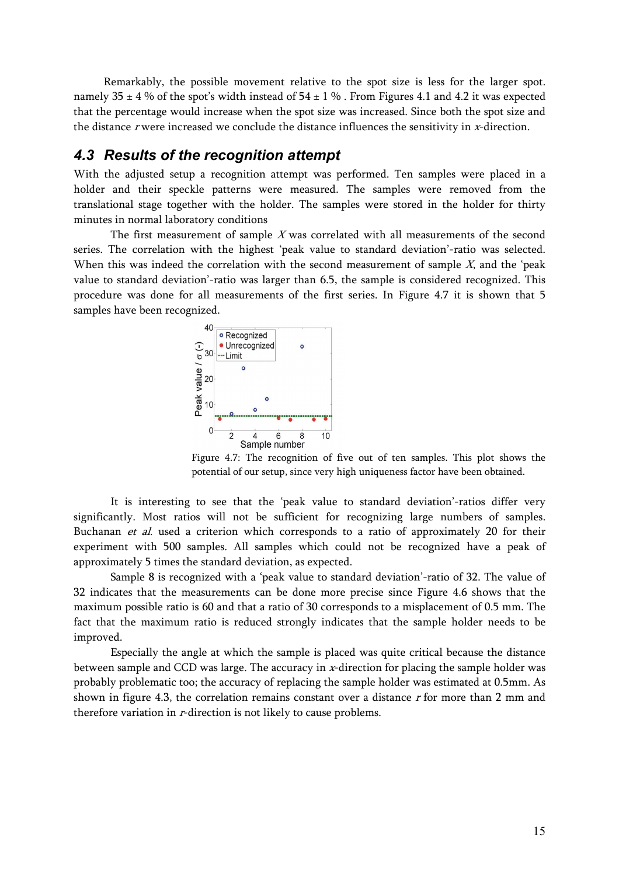Remarkably, the possible movement relative to the spot size is less for the larger spot. namely  $35 \pm 4$  % of the spot's width instead of  $54 \pm 1$  %. From Figures 4.1 and 4.2 it was expected that the percentage would increase when the spot size was increased. Since both the spot size and the distance  $r$  were increased we conclude the distance influences the sensitivity in  $x$ -direction.

#### *4.3 Results of the recognition attempt*

With the adjusted setup a recognition attempt was performed. Ten samples were placed in a holder and their speckle patterns were measured. The samples were removed from the translational stage together with the holder. The samples were stored in the holder for thirty minutes in normal laboratory conditions

The first measurement of sample  $X$  was correlated with all measurements of the second series. The correlation with the highest 'peak value to standard deviation'-ratio was selected. When this was indeed the correlation with the second measurement of sample  $X$ , and the 'peak value to standard deviation'-ratio was larger than 6.5, the sample is considered recognized. This procedure was done for all measurements of the first series. In Figure 4.7 it is shown that 5 samples have been recognized.



Figure 4.7: The recognition of five out of ten samples. This plot shows the potential of our setup, since very high uniqueness factor have been obtained.

It is interesting to see that the 'peak value to standard deviation'-ratios differ very significantly. Most ratios will not be sufficient for recognizing large numbers of samples. Buchanan et al. used a criterion which corresponds to a ratio of approximately 20 for their experiment with 500 samples. All samples which could not be recognized have a peak of approximately 5 times the standard deviation, as expected.

Sample 8 is recognized with a 'peak value to standard deviation'-ratio of 32. The value of 32 indicates that the measurements can be done more precise since Figure 4.6 shows that the maximum possible ratio is 60 and that a ratio of 30 corresponds to a misplacement of 0.5 mm. The fact that the maximum ratio is reduced strongly indicates that the sample holder needs to be improved.

Especially the angle at which the sample is placed was quite critical because the distance between sample and CCD was large. The accuracy in x-direction for placing the sample holder was probably problematic too; the accuracy of replacing the sample holder was estimated at 0.5mm. As shown in figure 4.3, the correlation remains constant over a distance  $r$  for more than 2 mm and therefore variation in *r*-direction is not likely to cause problems.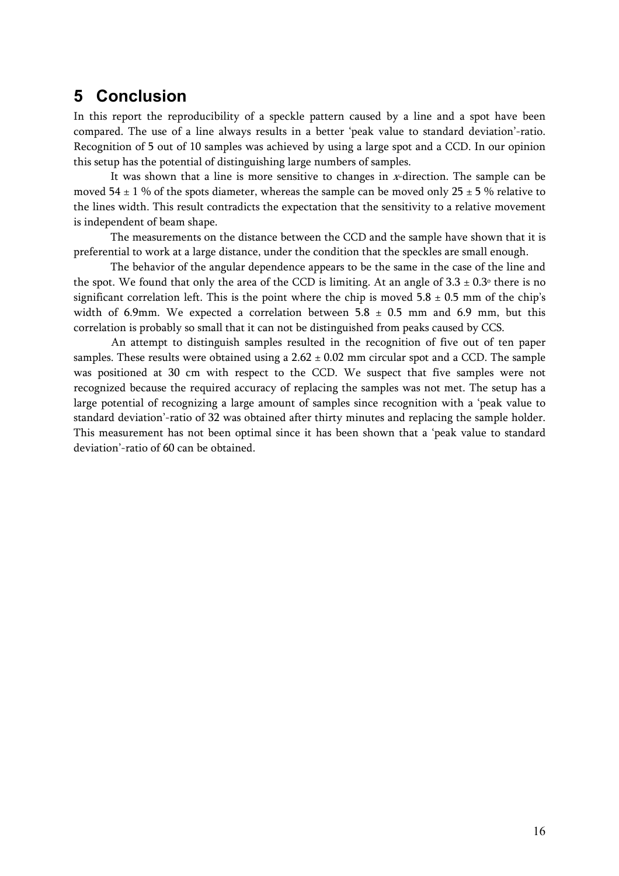# **5 Conclusion**

In this report the reproducibility of a speckle pattern caused by a line and a spot have been compared. The use of a line always results in a better 'peak value to standard deviation'-ratio. Recognition of 5 out of 10 samples was achieved by using a large spot and a CCD. In our opinion this setup has the potential of distinguishing large numbers of samples.

It was shown that a line is more sensitive to changes in  $x$ -direction. The sample can be moved  $54 \pm 1$  % of the spots diameter, whereas the sample can be moved only  $25 \pm 5$  % relative to the lines width. This result contradicts the expectation that the sensitivity to a relative movement is independent of beam shape.

The measurements on the distance between the CCD and the sample have shown that it is preferential to work at a large distance, under the condition that the speckles are small enough.

The behavior of the angular dependence appears to be the same in the case of the line and the spot. We found that only the area of the CCD is limiting. At an angle of  $3.3 \pm 0.3$ ° there is no significant correlation left. This is the point where the chip is moved  $5.8 \pm 0.5$  mm of the chip's width of 6.9mm. We expected a correlation between  $5.8 \pm 0.5$  mm and 6.9 mm, but this correlation is probably so small that it can not be distinguished from peaks caused by CCS.

An attempt to distinguish samples resulted in the recognition of five out of ten paper samples. These results were obtained using a  $2.62 \pm 0.02$  mm circular spot and a CCD. The sample was positioned at 30 cm with respect to the CCD. We suspect that five samples were not recognized because the required accuracy of replacing the samples was not met. The setup has a large potential of recognizing a large amount of samples since recognition with a 'peak value to standard deviation'-ratio of 32 was obtained after thirty minutes and replacing the sample holder. This measurement has not been optimal since it has been shown that a 'peak value to standard deviation'-ratio of 60 can be obtained.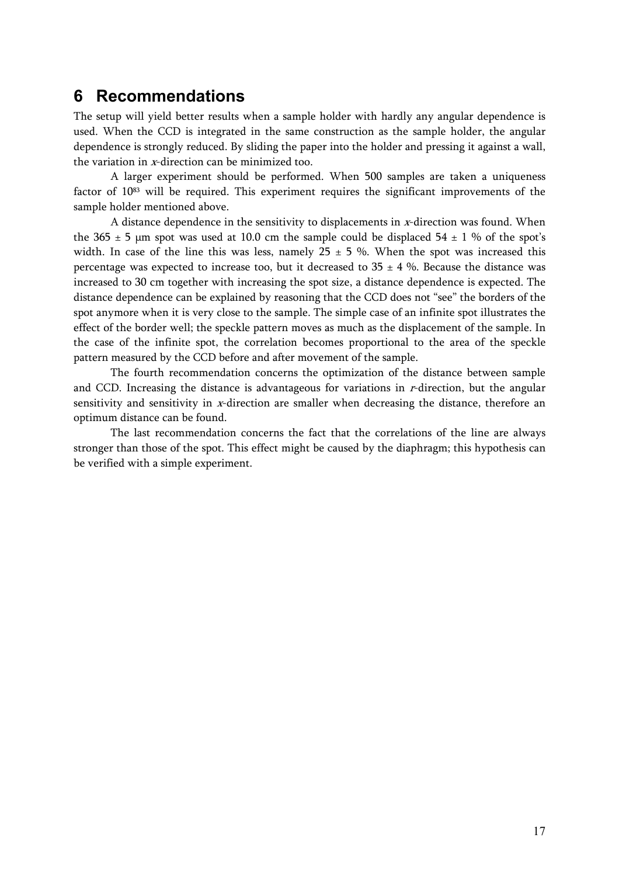### **6 Recommendations**

The setup will yield better results when a sample holder with hardly any angular dependence is used. When the CCD is integrated in the same construction as the sample holder, the angular dependence is strongly reduced. By sliding the paper into the holder and pressing it against a wall, the variation in x-direction can be minimized too.

A larger experiment should be performed. When 500 samples are taken a uniqueness factor of 1083 will be required. This experiment requires the significant improvements of the sample holder mentioned above.

A distance dependence in the sensitivity to displacements in  $x$ -direction was found. When the 365  $\pm$  5 µm spot was used at 10.0 cm the sample could be displaced 54  $\pm$  1 % of the spot's width. In case of the line this was less, namely  $25 \pm 5$  %. When the spot was increased this percentage was expected to increase too, but it decreased to  $35 \pm 4$  %. Because the distance was increased to 30 cm together with increasing the spot size, a distance dependence is expected. The distance dependence can be explained by reasoning that the CCD does not "see" the borders of the spot anymore when it is very close to the sample. The simple case of an infinite spot illustrates the effect of the border well; the speckle pattern moves as much as the displacement of the sample. In the case of the infinite spot, the correlation becomes proportional to the area of the speckle pattern measured by the CCD before and after movement of the sample.

The fourth recommendation concerns the optimization of the distance between sample and CCD. Increasing the distance is advantageous for variations in r-direction, but the angular sensitivity and sensitivity in x-direction are smaller when decreasing the distance, therefore an optimum distance can be found.

The last recommendation concerns the fact that the correlations of the line are always stronger than those of the spot. This effect might be caused by the diaphragm; this hypothesis can be verified with a simple experiment.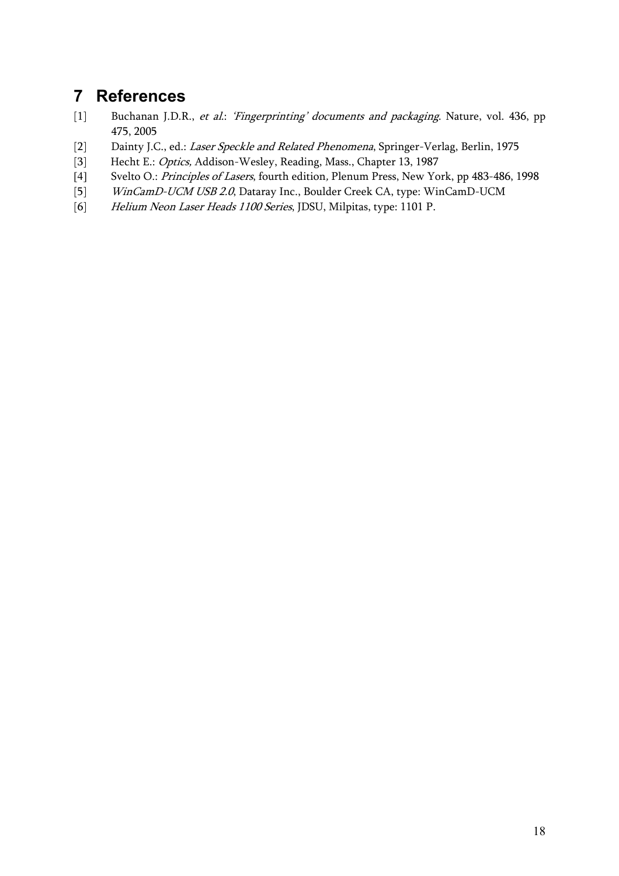# **7 References**

- [1] Buchanan J.D.R., et al.: 'Fingerprinting' documents and packaging. Nature, vol. 436, pp 475, 2005
- [2] Dainty J.C., ed.: Laser Speckle and Related Phenomena, Springer-Verlag, Berlin, 1975
- [3] Hecht E.: Optics, Addison-Wesley, Reading, Mass., Chapter 13, 1987
- [4] Svelto O.: *Principles of Lasers*, fourth edition, Plenum Press, New York, pp 483-486, 1998
- [5] WinCamD-UCM USB 2.0, Dataray Inc., Boulder Creek CA, type: WinCamD-UCM
- [6] Helium Neon Laser Heads 1100 Series, JDSU, Milpitas, type: 1101 P.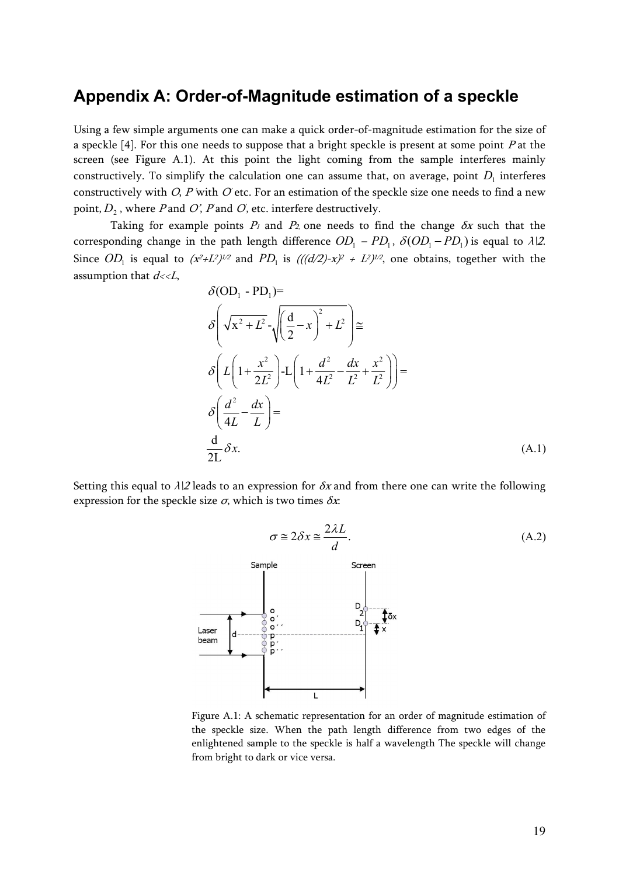### **Appendix A: Order-of-Magnitude estimation of a speckle**

Using a few simple arguments one can make a quick order-of-magnitude estimation for the size of a speckle  $[4]$ . For this one needs to suppose that a bright speckle is present at some point P at the screen (see Figure A.1). At this point the light coming from the sample interferes mainly constructively. To simplify the calculation one can assume that, on average, point  $D<sub>1</sub>$  interferes constructively with *O, P* with *O* etc. For an estimation of the speckle size one needs to find a new point,  $D_2$ , where *P* and *O*', *P* and *O*', etc. interfere destructively.

Taking for example points  $P_1$  and  $P_2$  one needs to find the change  $\delta x$  such that the corresponding change in the path length difference  $OD_1 - PD_1$ ,  $\delta (OD_1 - PD_1)$  is equal to  $\lambda$ |2. Since  $OD_1$  is equal to  $(x^2+L^2)^{1/2}$  and  $PD_1$  is  $(((d/2)-x)^2 + L^2)^{1/2}$ , one obtains, together with the assumption that  $d \ll L$ ,

$$
\delta \left( \mathbf{OD}_{1} - \mathbf{PD}_{1} \right) =
$$
\n
$$
\delta \left( \sqrt{x^{2} + L^{2}} - \sqrt{\left( \frac{d}{2} - x \right)^{2} + L^{2}} \right) \approx
$$
\n
$$
\delta \left( L \left( 1 + \frac{x^{2}}{2L^{2}} \right) - L \left( 1 + \frac{d^{2}}{4L^{2}} - \frac{dx}{L^{2}} + \frac{x^{2}}{L^{2}} \right) \right) =
$$
\n
$$
\delta \left( \frac{d^{2}}{4L} - \frac{dx}{L} \right) =
$$
\n
$$
\frac{d}{2L} \delta x.
$$
\n(A.1)

Setting this equal to  $\lambda$ |2 leads to an expression for  $\delta x$  and from there one can write the following expression for the speckle size  $\sigma$ , which is two times  $\delta x$ :



Figure A.1: A schematic representation for an order of magnitude estimation of the speckle size. When the path length difference from two edges of the enlightened sample to the speckle is half a wavelength The speckle will change from bright to dark or vice versa.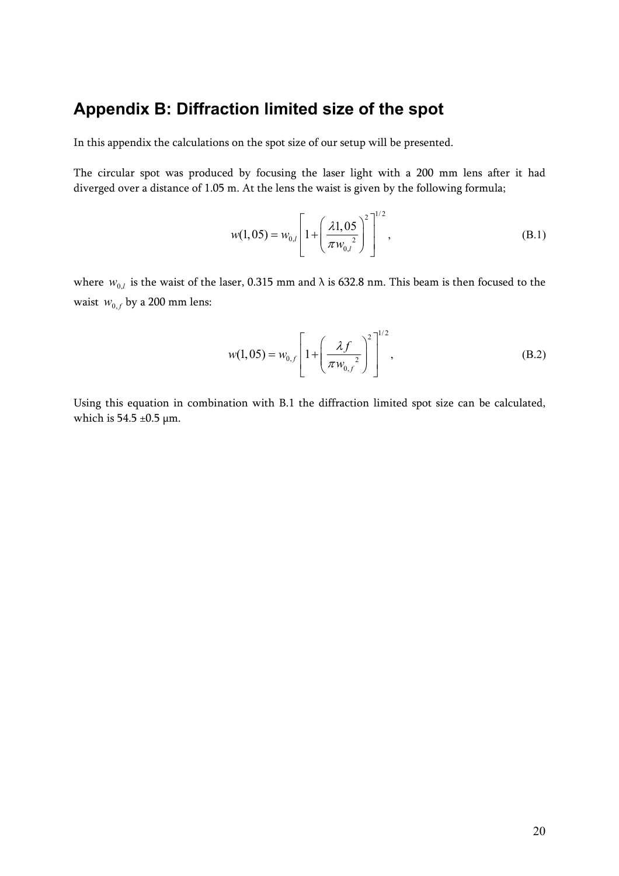# **Appendix B: Diffraction limited size of the spot**

In this appendix the calculations on the spot size of our setup will be presented.

The circular spot was produced by focusing the laser light with a 200 mm lens after it had diverged over a distance of 1.05 m. At the lens the waist is given by the following formula;

$$
w(1,05) = w_{0,l} \left[ 1 + \left( \frac{\lambda 1, 05}{\pi w_{0,l}^2} \right)^2 \right]^{1/2},
$$
 (B.1)

where  $W_{0,l}$  is the waist of the laser, 0.315 mm and  $\lambda$  is 632.8 nm. This beam is then focused to the waist  $w_{0,f}$  by a 200 mm lens:

$$
w(1,05) = w_{0,f} \left[ 1 + \left( \frac{\lambda f}{\pi w_{0,f}} \right)^2 \right]^{1/2},
$$
 (B.2)

Using this equation in combination with B.1 the diffraction limited spot size can be calculated, which is 54.5  $\pm$ 0.5  $\mu$ m.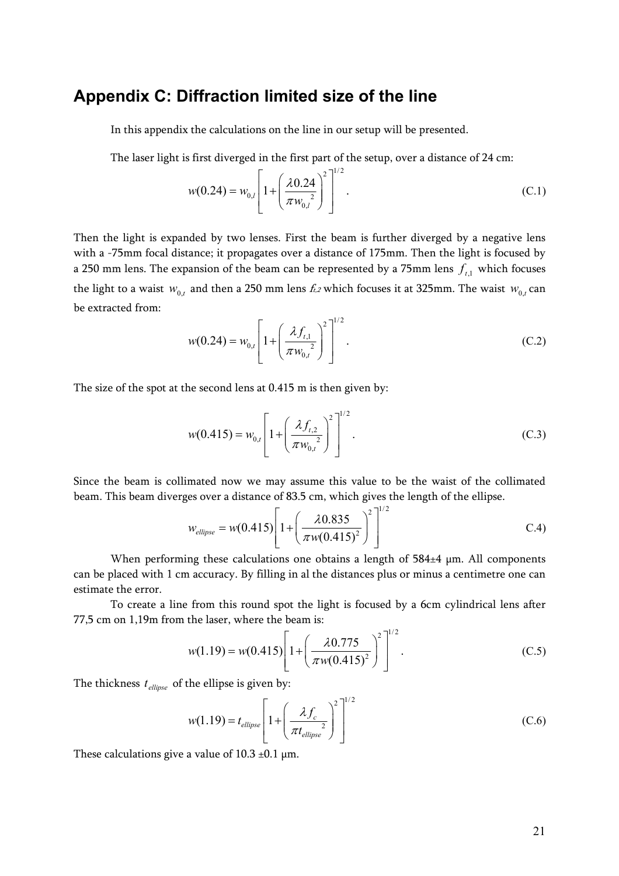### **Appendix C: Diffraction limited size of the line**

In this appendix the calculations on the line in our setup will be presented.

The laser light is first diverged in the first part of the setup, over a distance of 24 cm:

$$
w(0.24) = w_{0,l} \left[ 1 + \left( \frac{\lambda 0.24}{\pi w_{0,l}} \right)^2 \right]^{1/2}.
$$
 (C.1)

Then the light is expanded by two lenses. First the beam is further diverged by a negative lens with a -75mm focal distance; it propagates over a distance of 175mm. Then the light is focused by a 250 mm lens. The expansion of the beam can be represented by a 75mm lens  $f_{t,1}$  which focuses the light to a waist  $w_{0,t}$  and then a 250 mm lens  $f_{1,2}$  which focuses it at 325mm. The waist  $w_{0,t}$  can be extracted from:

$$
w(0.24) = w_{0,t} \left[ 1 + \left( \frac{\lambda f_{t,1}}{\pi w_{0,t}} \right)^2 \right]^{1/2}.
$$
 (C.2)

The size of the spot at the second lens at 0.415 m is then given by:

$$
w(0.415) = w_{0,t} \left[ 1 + \left( \frac{\lambda f_{t,2}}{\pi w_{0,t}} \right)^2 \right]^{1/2}.
$$
 (C.3)

Since the beam is collimated now we may assume this value to be the waist of the collimated beam. This beam diverges over a distance of 83.5 cm, which gives the length of the ellipse.

$$
w_{ellipse} = w(0.415) \left[ 1 + \left( \frac{\lambda 0.835}{\pi w(0.415)^2} \right)^2 \right]^{1/2}
$$
 C.4)

When performing these calculations one obtains a length of 584±4 µm. All components can be placed with 1 cm accuracy. By filling in al the distances plus or minus a centimetre one can estimate the error.

To create a line from this round spot the light is focused by a 6cm cylindrical lens after 77,5 cm on 1,19m from the laser, where the beam is:  $1/2$ 

$$
w(1.19) = w(0.415) \left[ 1 + \left( \frac{\lambda 0.775}{\pi w(0.415)^{2}} \right)^{2} \right]^{1/2}.
$$
 (C.5)

The thickness  $t_{ellipse}$  of the ellipse is given by:

$$
w(1.19) = t_{ellipse} \left[ 1 + \left( \frac{\lambda f_c}{\pi t_{ellipse}} \right)^2 \right]^{1/2}
$$
 (C.6)

These calculations give a value of  $10.3 \pm 0.1 \,\mu m$ .